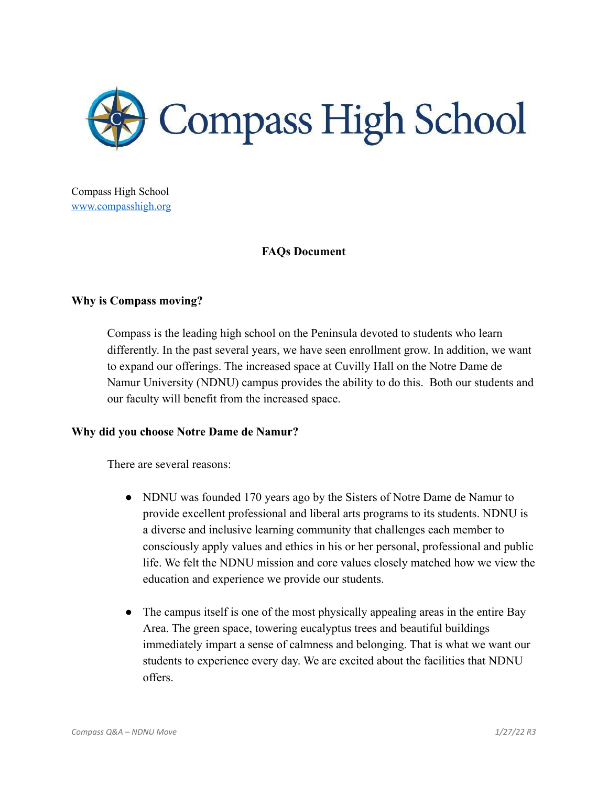

Compass High School [www.compasshigh.org](http://www.compasshigh.org)

## **FAQs Document**

### **Why is Compass moving?**

Compass is the leading high school on the Peninsula devoted to students who learn differently. In the past several years, we have seen enrollment grow. In addition, we want to expand our offerings. The increased space at Cuvilly Hall on the Notre Dame de Namur University (NDNU) campus provides the ability to do this. Both our students and our faculty will benefit from the increased space.

#### **Why did you choose Notre Dame de Namur?**

There are several reasons:

- NDNU was founded 170 years ago by the Sisters of Notre Dame de Namur to provide excellent professional and liberal arts programs to its students. NDNU is a diverse and inclusive learning community that challenges each member to consciously apply values and ethics in his or her personal, professional and public life. We felt the NDNU mission and core values closely matched how we view the education and experience we provide our students.
- The campus itself is one of the most physically appealing areas in the entire Bay Area. The green space, towering eucalyptus trees and beautiful buildings immediately impart a sense of calmness and belonging. That is what we want our students to experience every day. We are excited about the facilities that NDNU offers.